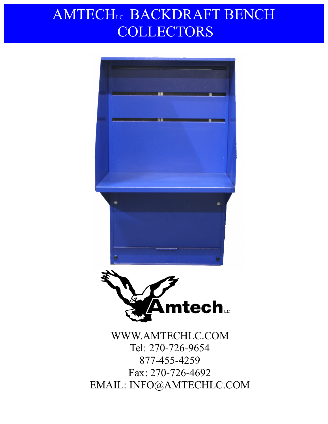# AMTECHLC BACKDRAFT BENCH **COLLECTORS**



Fax: 270-726-4692 EMAIL: INFO@AMTECHLC.COM